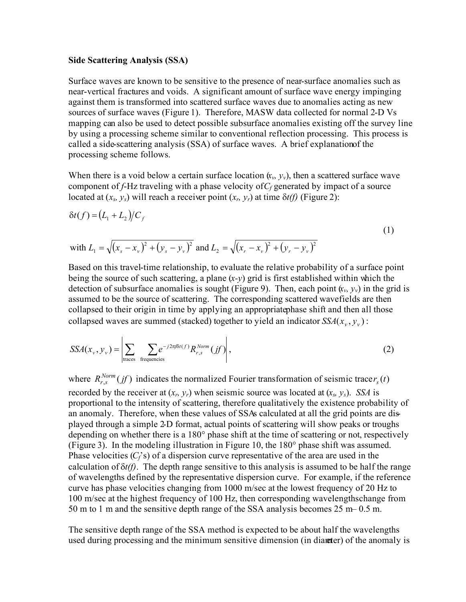## **Side Scattering Analysis (SSA)**

Surface waves are known to be sensitive to the presence of near-surface anomalies such as near-vertical fractures and voids. A significant amount of surface wave energy impinging against them is transformed into scattered surface waves due to anomalies acting as new sources of surface waves (Figure 1). Therefore, MASW data collected for normal 2-D Vs mapping can also be used to detect possible subsurface anomalies existing off the survey line by using a processing scheme similar to conventional reflection processing. This process is called a side-scattering analysis (SSA) of surface waves. A brief explanation of the processing scheme follows.

When there is a void below a certain surface location  $(x_v, y_v)$ , then a scattered surface wave component of  $f$ -Hz traveling with a phase velocity of  $C_f$  generated by impact of a source located at  $(x_s, y_s)$  will reach a receiver point  $(x_r, y_r)$  at time  $\delta t(f)$  (Figure 2):

$$
\delta t(f) = (L_1 + L_2)/C_f
$$
  
\nwith  $L_1 = \sqrt{(x_s - x_v)^2 + (y_s - y_v)^2}$  and  $L_2 = \sqrt{(x_r - x_v)^2 + (y_r - y_v)^2}$  (1)

Based on this travel-time relationship, to evaluate the relative probability of a surface point being the source of such scattering, a plane (*x-y*) grid is first established within which the detection of subsurface anomalies is sought (Figure 9). Then, each point  $(x_v, y_v)$  in the grid is assumed to be the source of scattering. The corresponding scattered wavefields are then collapsed to their origin in time by applying an appropriatephase shift and then all those collapsed waves are summed (stacked) together to yield an indicator  $SSA(x_v, y_v)$ :

$$
SSA(x_v, y_v) = \left| \sum_{\text{traces}} \sum_{\text{frequencies}} e^{-j2\pi f \delta t(f)} R_{r,s}^{Norm}(jf) \right|,
$$
 (2)

where  $R_{r,s}^{Norm}(jf)$  indicates the normalized Fourier transformation of seismic trace  $r_s(t)$ recorded by the receiver at  $(x_r, y_r)$  when seismic source was located at  $(x_s, y_s)$ . *SSA* is proportional to the intensity of scattering, therefore qualitatively the existence probability of an anomaly. Therefore, when these values of SSAs calculated at all the grid points are displayed through a simple 2-D format, actual points of scattering will show peaks or troughs depending on whether there is a 180° phase shift at the time of scattering or not, respectively (Figure 3). In the modeling illustration in Figure 10, the 180° phase shift was assumed. Phase velocities  $(C_f^2 s)$  of a dispersion curve representative of the area are used in the calculation of  $\delta t(f)$ . The depth range sensitive to this analysis is assumed to be half the range of wavelengths defined by the representative dispersion curve. For example, if the reference curve has phase velocities changing from 1000 m/sec at the lowest frequency of 20 Hz to 100 m/sec at the highest frequency of 100 Hz, then corresponding wavelengthschange from 50 m to 1 m and the sensitive depth range of the SSA analysis becomes  $25 \text{ m} - 0.5 \text{ m}$ .

The sensitive depth range of the SSA method is expected to be about half the wavelengths used during processing and the minimum sensitive dimension (in diameter) of the anomaly is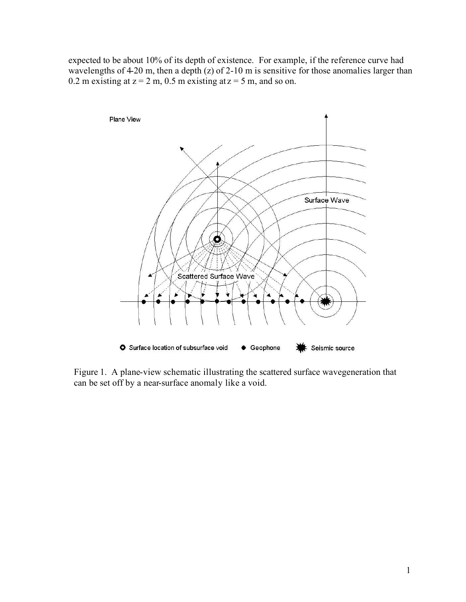expected to be about 10% of its depth of existence. For example, if the reference curve had wavelengths of  $4-20$  m, then a depth (z) of  $2-10$  m is sensitive for those anomalies larger than 0.2 m existing at  $z = 2$  m, 0.5 m existing at  $z = 5$  m, and so on.



Figure 1. A plane-view schematic illustrating the scattered surface wavegeneration that can be set off by a near-surface anomaly like a void.